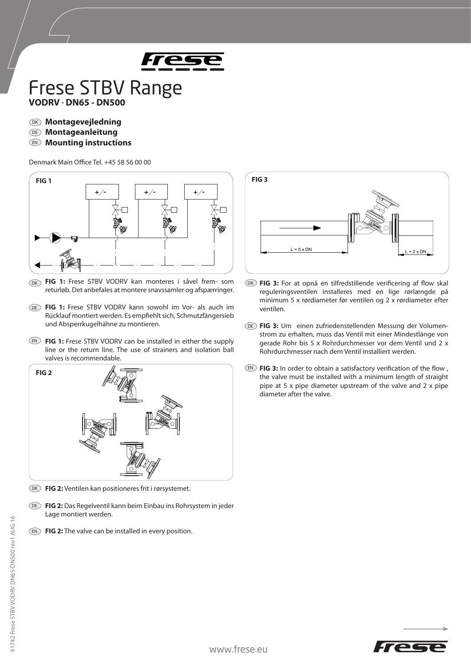

## Frese STBV Range **VODRV**·**DN65 - DN500**

- DK **Montagevejledning**
- DE **Montageanleitung**
- EN **Mounting instructions**

Denmark Main Office Tel. +45 58 56 00 00



- **FIG 1:** Frese STBV VODRV kan monteres i såvel frem- som DK returløb. Det anbefales at montere snavssamler og afspærringer.
- DE FIG 1: Frese STBV VODRV kann sowohl im Vor- als auch im Rücklauf montiert werden. Es empfiehlt sich, Schmutzfängersieb und Absperrkugelhähne zu montieren.
- **EN) FIG 1:** Frese STBV VODRV can be installed in either the supply line or the return line. The use of strainers and isolation ball valves is recommendable.



- DK **FIG 2:** Ventilen kan positioneres frit i rørsystemet.
- **FIG 2:** Das Regelventil kann beim Einbau ins Rohrsystem in jeder DE Lage montiert werden.
- EN FIG 2: The valve can be installed in every position.



- **FIG 3:** For at opnå en tilfredstillende verificering af flow skal DK reguleringsventilen installeres med en lige rørlængde på minimum 5 x rørdiameter før ventilen og 2 x rørdiameter efter ventilen.
- **FIG 3:** Um einen zufriedenstellenden Messung der Volumen-DE strom zu erhalten, muss das Ventil mit einer Mindestlänge von gerade Rohr bis 5 x Rohrdurchmesser vor dem Ventil und 2 x Rohrdurchmesser nach dem Ventil installiert werden.
- $E$  **FIG 3:** In order to obtain a satisfactory verification of the flow, the valve must be installed with a minimum length of straight pipe at 5 x pipe diameter upstream of the valve and 2 x pipe diameter after the valve.

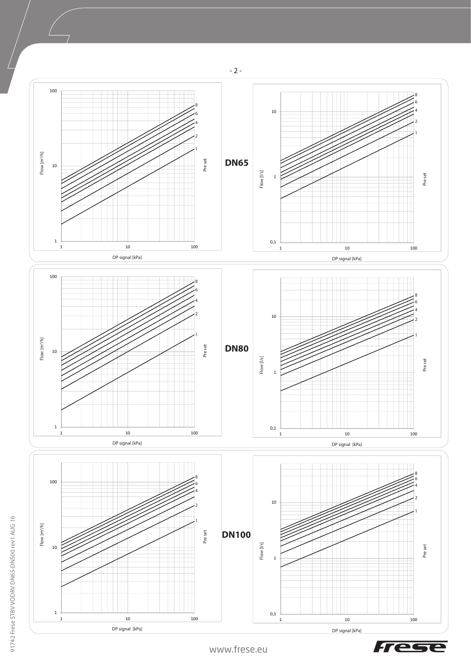

Tese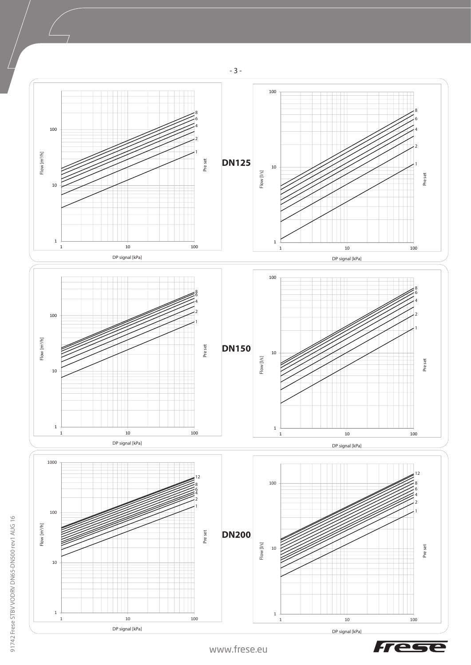

Tese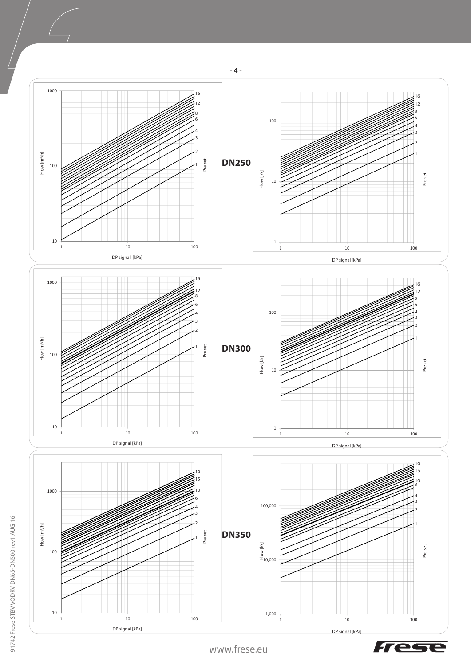

Tec